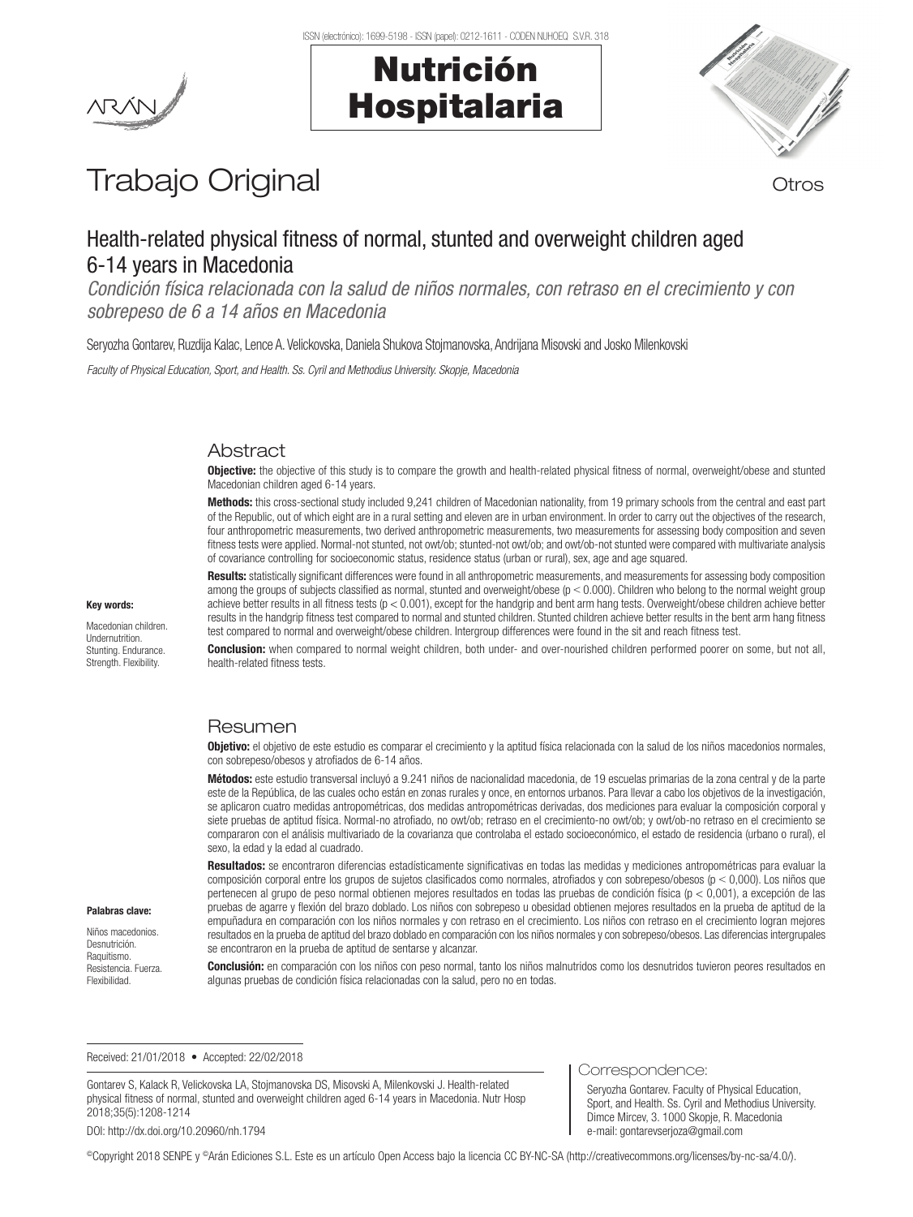



# Trabajo Original **Trabajo Original**

# Health-related physical fitness of normal, stunted and overweight children aged 6-14 years in Macedonia

*Condición física relacionada con la salud de niños normales, con retraso en el crecimiento y con sobrepeso de 6 a 14 años en Macedonia*

Seryozha Gontarev, Ruzdija Kalac, Lence A. Velickovska, Daniela Shukova Stojmanovska, Andrijana Misovski and Josko Milenkovski

*Faculty of Physical Education, Sport, and Health. Ss. Cyril and Methodius University. Skopje, Macedonia*

## Abstract

**Objective:** the objective of this study is to compare the growth and health-related physical fitness of normal, overweight/obese and stunted Macedonian children aged 6-14 years.

Methods: this cross-sectional study included 9,241 children of Macedonian nationality, from 19 primary schools from the central and east part of the Republic, out of which eight are in a rural setting and eleven are in urban environment. In order to carry out the objectives of the research, four anthropometric measurements, two derived anthropometric measurements, two measurements for assessing body composition and seven fitness tests were applied. Normal-not stunted, not owt/ob; stunted-not owt/ob; and owt/ob-not stunted were compared with multivariate analysis of covariance controlling for socioeconomic status, residence status (urban or rural), sex, age and age squared.

Results: statistically significant differences were found in all anthropometric measurements, and measurements for assessing body composition among the groups of subjects classified as normal, stunted and overweight/obese  $(p < 0.000)$ . Children who belong to the normal weight group achieve better results in all fitness tests (p < 0.001), except for the handgrip and bent arm hang tests. Overweight/obese children achieve better results in the handgrip fitness test compared to normal and stunted children. Stunted children achieve better results in the bent arm hang fitness test compared to normal and overweight/obese children. Intergroup differences were found in the sit and reach fitness test.

Conclusion: when compared to normal weight children, both under- and over-nourished children performed poorer on some, but not all, health-related fitness tests.

## Resumen

Objetivo: el objetivo de este estudio es comparar el crecimiento y la aptitud física relacionada con la salud de los niños macedonios normales, con sobrepeso/obesos y atrofiados de 6-14 años.

Métodos: este estudio transversal incluyó a 9.241 niños de nacionalidad macedonia, de 19 escuelas primarias de la zona central y de la parte este de la República, de las cuales ocho están en zonas rurales y once, en entornos urbanos. Para llevar a cabo los objetivos de la investigación, se aplicaron cuatro medidas antropométricas, dos medidas antropométricas derivadas, dos mediciones para evaluar la composición corporal y siete pruebas de aptitud física. Normal-no atrofiado, no owt/ob; retraso en el crecimiento-no owt/ob; y owt/ob-no retraso en el crecimiento se compararon con el análisis multivariado de la covarianza que controlaba el estado socioeconómico, el estado de residencia (urbano o rural), el sexo, la edad y la edad al cuadrado.

Resultados: se encontraron diferencias estadísticamente significativas en todas las medidas y mediciones antropométricas para evaluar la composición corporal entre los grupos de sujetos clasificados como normales, atrofiados y con sobrepeso/obesos ( $p < 0,000$ ). Los niños que pertenecen al grupo de peso normal obtienen mejores resultados en todas las pruebas de condición física (p < 0,001), a excepción de las pruebas de agarre y flexión del brazo doblado. Los niños con sobrepeso u obesidad obtienen mejores resultados en la prueba de aptitud de la empuñadura en comparación con los niños normales y con retraso en el crecimiento. Los niños con retraso en el crecimiento logran mejores resultados en la prueba de aptitud del brazo doblado en comparación con los niños normales y con sobrepeso/obesos. Las diferencias intergrupales se encontraron en la prueba de aptitud de sentarse y alcanzar.

Conclusión: en comparación con los niños con peso normal, tanto los niños malnutridos como los desnutridos tuvieron peores resultados en algunas pruebas de condición física relacionadas con la salud, pero no en todas.

Received: 21/01/2018 • Accepted: 22/02/2018

Gontarev S, Kalack R, Velickovska LA, Stojmanovska DS, Misovski A, Milenkovski J. Health-related physical fitness of normal, stunted and overweight children aged 6-14 years in Macedonia. Nutr Hosp 2018;35(5):1208-1214

DOI: http://dx.doi.org/10.20960/nh.1794

#### Correspondence:

Seryozha Gontarev. Faculty of Physical Education, Sport, and Health. Ss. Cyril and Methodius University. Dimce Mircev, 3. 1000 Skopje, R. Macedonia e-mail: gontarevserjoza@gmail.com

©Copyright 2018 SENPE y ©Arán Ediciones S.L. Este es un artículo Open Access bajo la licencia CC BY-NC-SA (http://creativecommons.org/licenses/by-nc-sa/4.0/).

#### Key words:

Macedonian children. Undernutrition. Stunting. Endurance. Strength. Flexibility.

Palabras clave: Niños macedonios. Desnutrición. Raquitismo. Resistencia. Fuerza. Flexibilidad.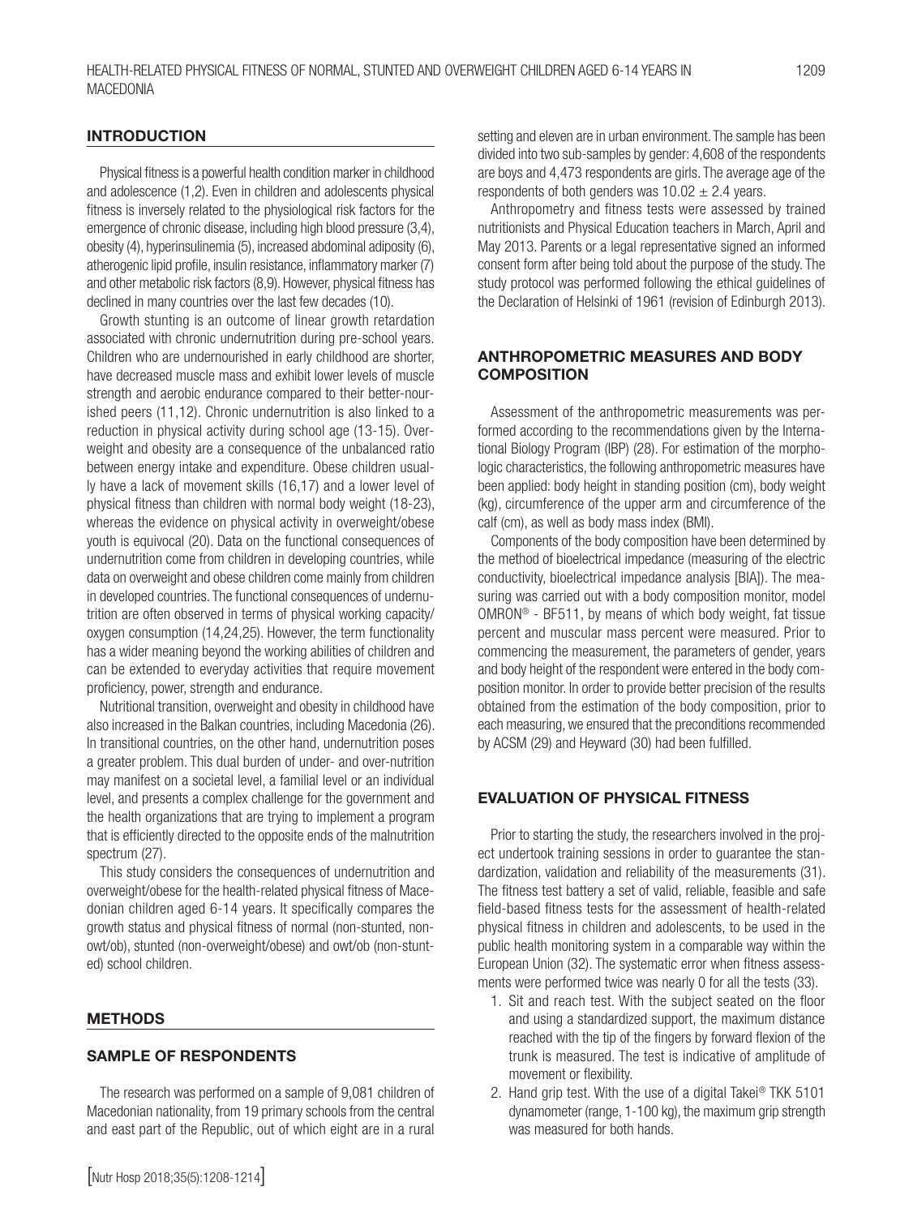#### **INTRODUCTION**

Physical fitness is a powerful health condition marker in childhood and adolescence (1,2). Even in children and adolescents physical fitness is inversely related to the physiological risk factors for the emergence of chronic disease, including high blood pressure (3,4), obesity (4), hyperinsulinemia (5), increased abdominal adiposity (6), atherogenic lipid profile, insulin resistance, inflammatory marker (7) and other metabolic risk factors (8,9). However, physical fitness has declined in many countries over the last few decades (10).

Growth stunting is an outcome of linear growth retardation associated with chronic undernutrition during pre-school years. Children who are undernourished in early childhood are shorter, have decreased muscle mass and exhibit lower levels of muscle strength and aerobic endurance compared to their better-nourished peers (11,12). Chronic undernutrition is also linked to a reduction in physical activity during school age (13-15). Overweight and obesity are a consequence of the unbalanced ratio between energy intake and expenditure. Obese children usually have a lack of movement skills (16,17) and a lower level of physical fitness than children with normal body weight (18-23), whereas the evidence on physical activity in overweight/obese youth is equivocal (20). Data on the functional consequences of undernutrition come from children in developing countries, while data on overweight and obese children come mainly from children in developed countries. The functional consequences of undernutrition are often observed in terms of physical working capacity/ oxygen consumption (14,24,25). However, the term functionality has a wider meaning beyond the working abilities of children and can be extended to everyday activities that require movement proficiency, power, strength and endurance.

Nutritional transition, overweight and obesity in childhood have also increased in the Balkan countries, including Macedonia (26). In transitional countries, on the other hand, undernutrition poses a greater problem. This dual burden of under- and over-nutrition may manifest on a societal level, a familial level or an individual level, and presents a complex challenge for the government and the health organizations that are trying to implement a program that is efficiently directed to the opposite ends of the malnutrition spectrum (27).

This study considers the consequences of undernutrition and overweight/obese for the health-related physical fitness of Macedonian children aged 6-14 years. It specifically compares the growth status and physical fitness of normal (non-stunted, nonowt/ob), stunted (non-overweight/obese) and owt/ob (non-stunted) school children.

#### METHODS

#### SAMPLE OF RESPONDENTS

The research was performed on a sample of 9,081 children of Macedonian nationality, from 19 primary schools from the central and east part of the Republic, out of which eight are in a rural

setting and eleven are in urban environment. The sample has been divided into two sub-samples by gender: 4,608 of the respondents are boys and 4,473 respondents are girls. The average age of the respondents of both genders was  $10.02 \pm 2.4$  years.

Anthropometry and fitness tests were assessed by trained nutritionists and Physical Education teachers in March, April and May 2013. Parents or a legal representative signed an informed consent form after being told about the purpose of the study. The study protocol was performed following the ethical guidelines of the Declaration of Helsinki of 1961 (revision of Edinburgh 2013).

#### ANTHROPOMETRIC MEASURES AND BODY COMPOSITION

Assessment of the anthropometric measurements was performed according to the recommendations given by the International Biology Program (IBP) (28). For estimation of the morphologic characteristics, the following anthropometric measures have been applied: body height in standing position (cm), body weight (kg), circumference of the upper arm and circumference of the calf (cm), as well as body mass index (BMI).

Components of the body composition have been determined by the method of bioelectrical impedance (measuring of the electric conductivity, bioelectrical impedance analysis [BIA]). The measuring was carried out with a body composition monitor, model OMRON® - BF511, by means of which body weight, fat tissue percent and muscular mass percent were measured. Prior to commencing the measurement, the parameters of gender, years and body height of the respondent were entered in the body composition monitor. In order to provide better precision of the results obtained from the estimation of the body composition, prior to each measuring, we ensured that the preconditions recommended by ACSM (29) and Heyward (30) had been fulfilled.

#### EVALUATION OF PHYSICAL FITNESS

Prior to starting the study, the researchers involved in the project undertook training sessions in order to guarantee the standardization, validation and reliability of the measurements (31). The fitness test battery a set of valid, reliable, feasible and safe field-based fitness tests for the assessment of health-related physical fitness in children and adolescents, to be used in the public health monitoring system in a comparable way within the European Union (32). The systematic error when fitness assessments were performed twice was nearly 0 for all the tests (33).

- 1. Sit and reach test. With the subject seated on the floor and using a standardized support, the maximum distance reached with the tip of the fingers by forward flexion of the trunk is measured. The test is indicative of amplitude of movement or flexibility.
- 2. Hand grip test. With the use of a digital Takei® TKK 5101 dynamometer (range, 1-100 kg), the maximum grip strength was measured for both hands.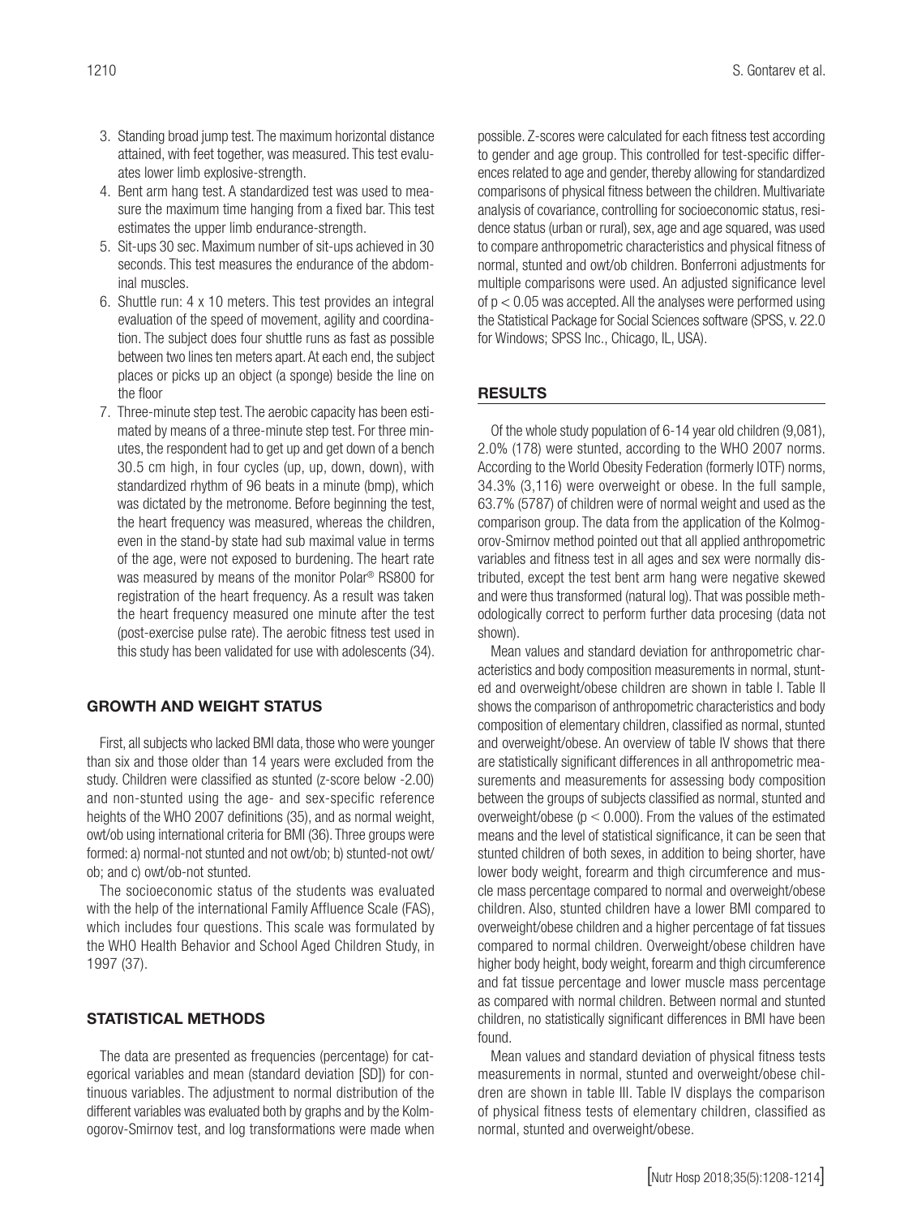- 3. Standing broad jump test. The maximum horizontal distance attained, with feet together, was measured. This test evaluates lower limb explosive-strength.
- 4. Bent arm hang test. A standardized test was used to measure the maximum time hanging from a fixed bar. This test estimates the upper limb endurance-strength.
- 5. Sit-ups 30 sec. Maximum number of sit-ups achieved in 30 seconds. This test measures the endurance of the abdominal muscles.
- 6. Shuttle run: 4 x 10 meters. This test provides an integral evaluation of the speed of movement, agility and coordination. The subject does four shuttle runs as fast as possible between two lines ten meters apart. At each end, the subject places or picks up an object (a sponge) beside the line on the floor
- 7. Three-minute step test. The aerobic capacity has been estimated by means of a three-minute step test. For three minutes, the respondent had to get up and get down of a bench 30.5 cm high, in four cycles (up, up, down, down), with standardized rhythm of 96 beats in a minute (bmp), which was dictated by the metronome. Before beginning the test, the heart frequency was measured, whereas the children, even in the stand-by state had sub maximal value in terms of the age, were not exposed to burdening. The heart rate was measured by means of the monitor Polar® RS800 for registration of the heart frequency. As a result was taken the heart frequency measured one minute after the test (post-exercise pulse rate). The aerobic fitness test used in this study has been validated for use with adolescents (34).

#### GROWTH AND WEIGHT STATUS

First, all subjects who lacked BMI data, those who were younger than six and those older than 14 years were excluded from the study. Children were classified as stunted (z-score below -2.00) and non-stunted using the age- and sex-specific reference heights of the WHO 2007 definitions (35), and as normal weight, owt/ob using international criteria for BMI (36). Three groups were formed: a) normal-not stunted and not owt/ob; b) stunted-not owt/ ob; and c) owt/ob-not stunted.

The socioeconomic status of the students was evaluated with the help of the international Family Affluence Scale (FAS), which includes four questions. This scale was formulated by the WHO Health Behavior and School Aged Children Study, in 1997 (37).

#### STATISTICAL METHODS

The data are presented as frequencies (percentage) for categorical variables and mean (standard deviation [SD]) for continuous variables. The adjustment to normal distribution of the different variables was evaluated both by graphs and by the Kolmogorov-Smirnov test, and log transformations were made when possible. Z-scores were calculated for each fitness test according to gender and age group. This controlled for test-specific differences related to age and gender, thereby allowing for standardized comparisons of physical fitness between the children. Multivariate analysis of covariance, controlling for socioeconomic status, residence status (urban or rural), sex, age and age squared, was used to compare anthropometric characteristics and physical fitness of normal, stunted and owt/ob children. Bonferroni adjustments for multiple comparisons were used. An adjusted significance level of p < 0.05 was accepted. All the analyses were performed using the Statistical Package for Social Sciences software (SPSS, v. 22.0 for Windows; SPSS Inc., Chicago, IL, USA).

#### RESULTS

Of the whole study population of 6-14 year old children (9,081), 2.0% (178) were stunted, according to the WHO 2007 norms. According to the World Obesity Federation (formerly IOTF) norms, 34.3% (3,116) were overweight or obese. In the full sample, 63.7% (5787) of children were of normal weight and used as the comparison group. The data from the application of the Kolmogorov-Smirnov method pointed out that all applied anthropometric variables and fitness test in all ages and sex were normally distributed, except the test bent arm hang were negative skewed and were thus transformed (natural log). That was possible methodologically correct to perform further data procesing (data not shown).

Mean values and standard deviation for anthropometric characteristics and body composition measurements in normal, stunted and overweight/obese children are shown in table I. Table II shows the comparison of anthropometric characteristics and body composition of elementary children, classified as normal, stunted and overweight/obese. An overview of table IV shows that there are statistically significant differences in all anthropometric measurements and measurements for assessing body composition between the groups of subjects classified as normal, stunted and overweight/obese ( $p < 0.000$ ). From the values of the estimated means and the level of statistical significance, it can be seen that stunted children of both sexes, in addition to being shorter, have lower body weight, forearm and thigh circumference and muscle mass percentage compared to normal and overweight/obese children. Also, stunted children have a lower BMI compared to overweight/obese children and a higher percentage of fat tissues compared to normal children. Overweight/obese children have higher body height, body weight, forearm and thigh circumference and fat tissue percentage and lower muscle mass percentage as compared with normal children. Between normal and stunted children, no statistically significant differences in BMI have been found.

Mean values and standard deviation of physical fitness tests measurements in normal, stunted and overweight/obese children are shown in table III. Table IV displays the comparison of physical fitness tests of elementary children, classified as normal, stunted and overweight/obese.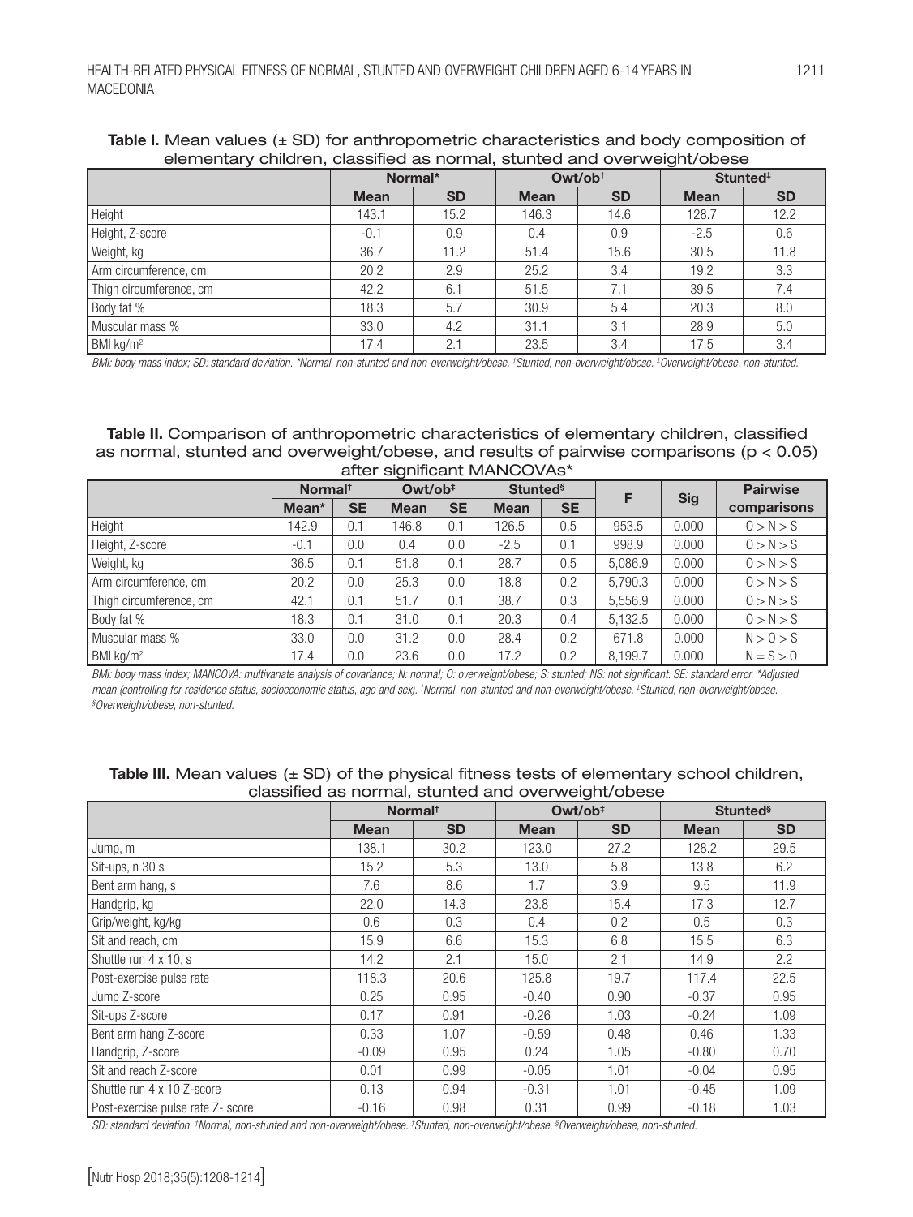elementary children, classified as normal, stunted and overweight/obese Normal\* Owt/ob<sup>†</sup> Stunted<sup>‡</sup> Mean | SD | Mean | SD | Mean | SD Height 143.1 15.2 146.3 14.6 128.7 12.2 Height, Z-score **-0.1** -0.1 0.9 0.4 0.9 -2.5 0.6 Weight, kg 36.7 11.2 51.4 15.6 30.5 11.8 Arm circumference, cm 20.2 2.9 2.5.2 3.4 19.2 3.3 Thigh circumference, cm 42.2 6.1 51.5 7.1 39.5 7.4 Body fat % 18.3 | 5.7 | 30.9 | 5.4 | 20.3 | 8.0

# Table I. Mean values  $(\pm S)$  for anthropometric characteristics and body composition of

BMI kg/m<sup>2</sup> 17.4 2.1 2.3.5 3.4 17.5 3.4 3.4 *BMI: body mass index; SD: standard deviation. \*Normal, non-stunted and non-overweight/obese. † Stunted, non-overweight/obese. ‡ Overweight/obese, non-stunted.*

Muscular mass % 1 33.0 4.2 31.1 3.1 28.9 5.0

Table II. Comparison of anthropometric characteristics of elementary children, classified as normal, stunted and overweight/obese, and results of pairwise comparisons (p < 0.05) after significant MANCOVAs\*

|                         | Normal <sup>t</sup> |           | Owt/ob <sup>#</sup> |           | <b>Stunted</b> <sup>§</sup> |           |         |            | <b>Pairwise</b> |
|-------------------------|---------------------|-----------|---------------------|-----------|-----------------------------|-----------|---------|------------|-----------------|
|                         | Mean <sup>*</sup>   | <b>SE</b> | <b>Mean</b>         | <b>SE</b> | <b>Mean</b>                 | <b>SE</b> |         | <b>Sig</b> | comparisons     |
| Height                  | 142.9               | 0.1       | 146.8               | 0.1       | 126.5                       | 0.5       | 953.5   | 0.000      | 0 > N > S       |
| Height, Z-score         | $-0.1$              | 0.0       | 0.4                 | 0.0       | $-2.5$                      | 0.1       | 998.9   | 0.000      | 0 > N > S       |
| Weight, kg              | 36.5                | 0.1       | 51.8                | 0.1       | 28.7                        | 0.5       | 5.086.9 | 0.000      | 0 > N > S       |
| Arm circumference, cm   | 20.2                | 0.0       | 25.3                | 0.0       | 18.8                        | 0.2       | 5.790.3 | 0.000      | 0 > N > S       |
| Thigh circumference, cm | 42.1                | 0.1       | 51.7                | 0.1       | 38.7                        | 0.3       | 5.556.9 | 0.000      | 0 > N > S       |
| Body fat %              | 18.3                | 0.1       | 31.0                | 0.1       | 20.3                        | 0.4       | 5.132.5 | 0.000      | 0 > N > S       |
| Muscular mass %         | 33.0                | 0.0       | 31.2                | 0.0       | 28.4                        | 0.2       | 671.8   | 0.000      | N > 0 > S       |
| BMI $kg/m2$             | 17.4                | 0.0       | 23.6                | 0.0       | 17.2                        | 0.2       | 8.199.7 | 0.000      | $N = S > 0$     |

*BMI: body mass index; MANCOVA: multivariate analysis of covariance; N: normal; O: overweight/obese; S: stunted; NS: not significant. SE: standard error. \*Adjusted mean (controlling for residence status, socioeconomic status, age and sex). † Normal, non-stunted and non-overweight/obese. ‡ Stunted, non-overweight/obese. § Overweight/obese, non-stunted.*

|                                   | classified as Horrital, started and Overweight obese<br>Owt/ob <sup>#</sup><br>Normal <sup>t</sup> |           |             |           |                             |                  |  |  |  |
|-----------------------------------|----------------------------------------------------------------------------------------------------|-----------|-------------|-----------|-----------------------------|------------------|--|--|--|
|                                   |                                                                                                    |           |             |           | <b>Stunted</b> <sup>§</sup> |                  |  |  |  |
|                                   | <b>Mean</b>                                                                                        | <b>SD</b> | <b>Mean</b> | <b>SD</b> | <b>Mean</b>                 | <b>SD</b>        |  |  |  |
| Jump, m                           | 138.1                                                                                              | 30.2      | 123.0       | 27.2      | 128.2                       | 29.5             |  |  |  |
| Sit-ups, n 30 s                   | 15.2                                                                                               | 5.3       | 13.0        | 5.8       | 13.8                        | 6.2              |  |  |  |
| Bent arm hang, s                  | 7.6                                                                                                | 8.6       | 1.7         | 3.9       | 9.5                         | 11.9             |  |  |  |
| Handgrip, kg                      | 22.0                                                                                               | 14.3      | 23.8        | 15.4      | 17.3                        | 12.7             |  |  |  |
| Grip/weight, kg/kg                | 0.6                                                                                                | 0.3       | 0.4         | 0.2       | 0.5                         | 0.3              |  |  |  |
| Sit and reach, cm                 | 15.9                                                                                               | 6.6       | 15.3        | 6.8       | 15.5                        | 6.3              |  |  |  |
| Shuttle run 4 x 10, s             | 14.2                                                                                               | 2.1       | 15.0        | 2.1       | 14.9                        | $2.2\phantom{0}$ |  |  |  |
| Post-exercise pulse rate          | 118.3                                                                                              | 20.6      | 125.8       | 19.7      | 117.4                       | 22.5             |  |  |  |
| Jump Z-score                      | 0.25                                                                                               | 0.95      | $-0.40$     | 0.90      | $-0.37$                     | 0.95             |  |  |  |
| Sit-ups Z-score                   | 0.17                                                                                               | 0.91      | $-0.26$     | 1.03      | $-0.24$                     | 1.09             |  |  |  |
| Bent arm hang Z-score             | 0.33                                                                                               | 1.07      | $-0.59$     | 0.48      | 0.46                        | 1.33             |  |  |  |
| Handgrip, Z-score                 | $-0.09$                                                                                            | 0.95      | 0.24        | 1.05      | $-0.80$                     | 0.70             |  |  |  |
| Sit and reach Z-score             | 0.01                                                                                               | 0.99      | $-0.05$     | 1.01      | $-0.04$                     | 0.95             |  |  |  |
| Shuttle run 4 x 10 Z-score        | 0.13                                                                                               | 0.94      | $-0.31$     | 1.01      | $-0.45$                     | 1.09             |  |  |  |
| Post-exercise pulse rate Z- score | $-0.16$                                                                                            | 0.98      | 0.31        | 0.99      | $-0.18$                     | 1.03             |  |  |  |

#### **Table III.** Mean values  $(\pm$  SD) of the physical fitness tests of elementary school children, classified as normal, stunted and overweight/obese

*SD: standard deviation. † Normal, non-stunted and non-overweight/obese. ‡ Stunted, non-overweight/obese. § Overweight/obese, non-stunted.*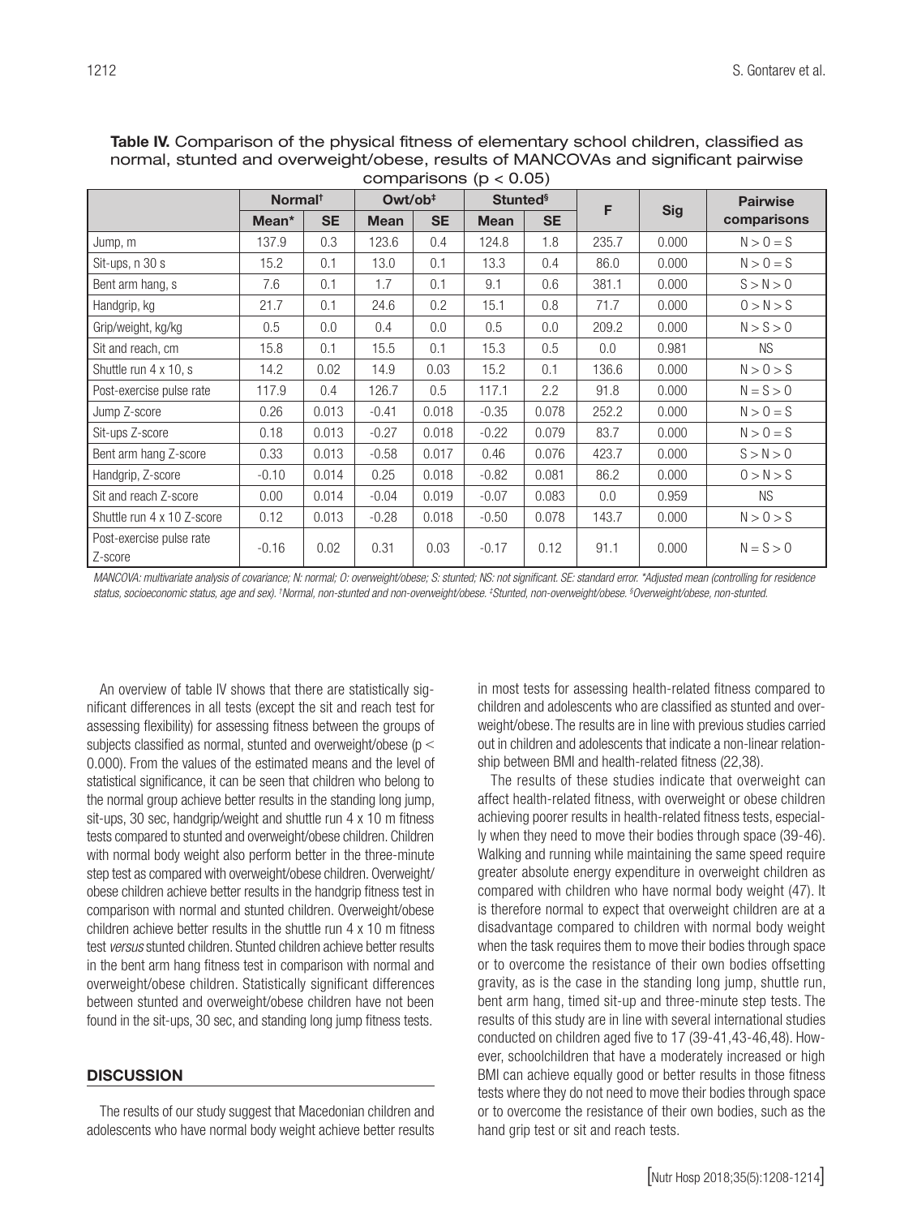| comparisons ( $p < 0.05$ )          |                     |           |                     |           |                             |           |       |            |                 |  |
|-------------------------------------|---------------------|-----------|---------------------|-----------|-----------------------------|-----------|-------|------------|-----------------|--|
|                                     | Normal <sup>t</sup> |           | Owt/ob <sup>#</sup> |           | <b>Stunted</b> <sup>§</sup> |           | F     |            | <b>Pairwise</b> |  |
|                                     | Mean*               | <b>SE</b> | <b>Mean</b>         | <b>SE</b> | <b>Mean</b>                 | <b>SE</b> |       | <b>Sig</b> | comparisons     |  |
| Jump, m                             | 137.9               | 0.3       | 123.6               | 0.4       | 124.8                       | 1.8       | 235.7 | 0.000      | $N > 0 = S$     |  |
| Sit-ups, n 30 s                     | 15.2                | 0.1       | 13.0                | 0.1       | 13.3                        | 0.4       | 86.0  | 0.000      | $N > 0 = S$     |  |
| Bent arm hang, s                    | 7.6                 | 0.1       | 1.7                 | 0.1       | 9.1                         | 0.6       | 381.1 | 0.000      | S > N > 0       |  |
| Handgrip, kg                        | 21.7                | 0.1       | 24.6                | 0.2       | 15.1                        | 0.8       | 71.7  | 0.000      | 0 > N > S       |  |
| Grip/weight, kg/kg                  | 0.5                 | 0.0       | 0.4                 | 0.0       | 0.5                         | 0.0       | 209.2 | 0.000      | N > S > 0       |  |
| Sit and reach, cm                   | 15.8                | 0.1       | 15.5                | 0.1       | 15.3                        | 0.5       | 0.0   | 0.981      | <b>NS</b>       |  |
| Shuttle run 4 x 10, s               | 14.2                | 0.02      | 14.9                | 0.03      | 15.2                        | 0.1       | 136.6 | 0.000      | N > 0 > S       |  |
| Post-exercise pulse rate            | 117.9               | 0.4       | 126.7               | 0.5       | 117.1                       | 2.2       | 91.8  | 0.000      | $N = S > 0$     |  |
| Jump Z-score                        | 0.26                | 0.013     | $-0.41$             | 0.018     | $-0.35$                     | 0.078     | 252.2 | 0.000      | $N > 0 = S$     |  |
| Sit-ups Z-score                     | 0.18                | 0.013     | $-0.27$             | 0.018     | $-0.22$                     | 0.079     | 83.7  | 0.000      | $N > 0 = S$     |  |
| Bent arm hang Z-score               | 0.33                | 0.013     | $-0.58$             | 0.017     | 0.46                        | 0.076     | 423.7 | 0.000      | S > N > 0       |  |
| Handgrip, Z-score                   | $-0.10$             | 0.014     | 0.25                | 0.018     | $-0.82$                     | 0.081     | 86.2  | 0.000      | 0 > N > S       |  |
| Sit and reach Z-score               | 0.00                | 0.014     | $-0.04$             | 0.019     | $-0.07$                     | 0.083     | 0.0   | 0.959      | <b>NS</b>       |  |
| Shuttle run 4 x 10 Z-score          | 0.12                | 0.013     | $-0.28$             | 0.018     | $-0.50$                     | 0.078     | 143.7 | 0.000      | N > 0 > S       |  |
| Post-exercise pulse rate<br>Z-score | $-0.16$             | 0.02      | 0.31                | 0.03      | $-0.17$                     | 0.12      | 91.1  | 0.000      | $N = S > 0$     |  |

Table IV. Comparison of the physical fitness of elementary school children, classified as normal, stunted and overweight/obese, results of MANCOVAs and significant pairwise

*MANCOVA: multivariate analysis of covariance; N: normal; O: overweight/obese; S: stunted; NS: not significant. SE: standard error. \*Adjusted mean (controlling for residence status, socioeconomic status, age and sex). † Normal, non-stunted and non-overweight/obese. ‡ Stunted, non-overweight/obese. § Overweight/obese, non-stunted.*

An overview of table IV shows that there are statistically significant differences in all tests (except the sit and reach test for assessing flexibility) for assessing fitness between the groups of subjects classified as normal, stunted and overweight/obese (p < 0.000). From the values of the estimated means and the level of statistical significance, it can be seen that children who belong to the normal group achieve better results in the standing long jump, sit-ups, 30 sec, handgrip/weight and shuttle run 4 x 10 m fitness tests compared to stunted and overweight/obese children. Children with normal body weight also perform better in the three-minute step test as compared with overweight/obese children. Overweight/ obese children achieve better results in the handgrip fitness test in comparison with normal and stunted children. Overweight/obese children achieve better results in the shuttle run 4 x 10 m fitness test *versus* stunted children. Stunted children achieve better results in the bent arm hang fitness test in comparison with normal and overweight/obese children. Statistically significant differences between stunted and overweight/obese children have not been found in the sit-ups, 30 sec, and standing long jump fitness tests.

#### **DISCUSSION**

The results of our study suggest that Macedonian children and adolescents who have normal body weight achieve better results in most tests for assessing health-related fitness compared to children and adolescents who are classified as stunted and overweight/obese. The results are in line with previous studies carried out in children and adolescents that indicate a non-linear relationship between BMI and health-related fitness (22,38).

The results of these studies indicate that overweight can affect health-related fitness, with overweight or obese children achieving poorer results in health-related fitness tests, especially when they need to move their bodies through space (39-46). Walking and running while maintaining the same speed require greater absolute energy expenditure in overweight children as compared with children who have normal body weight (47). It is therefore normal to expect that overweight children are at a disadvantage compared to children with normal body weight when the task requires them to move their bodies through space or to overcome the resistance of their own bodies offsetting gravity, as is the case in the standing long jump, shuttle run, bent arm hang, timed sit-up and three-minute step tests. The results of this study are in line with several international studies conducted on children aged five to 17 (39-41,43-46,48). However, schoolchildren that have a moderately increased or high BMI can achieve equally good or better results in those fitness tests where they do not need to move their bodies through space or to overcome the resistance of their own bodies, such as the hand grip test or sit and reach tests.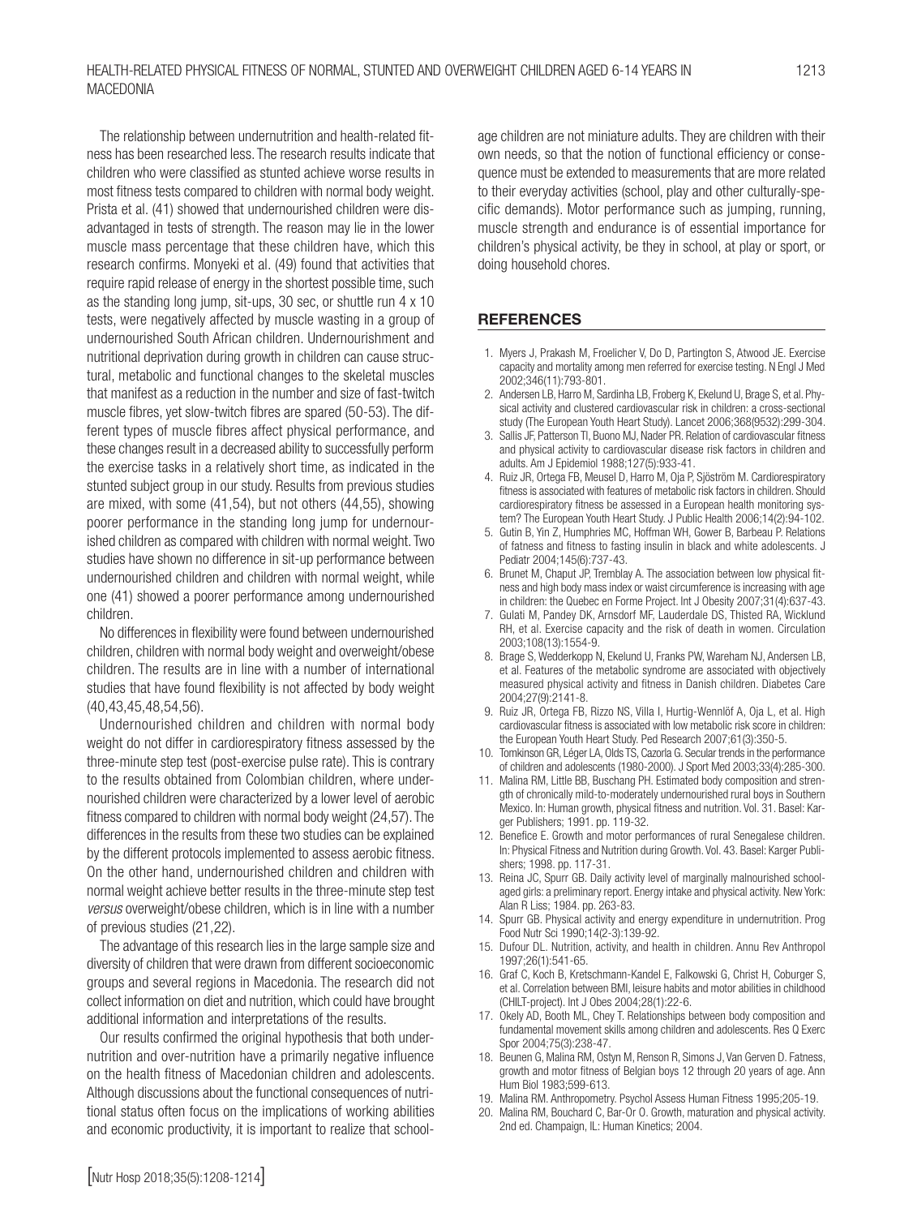The relationship between undernutrition and health-related fitness has been researched less. The research results indicate that children who were classified as stunted achieve worse results in most fitness tests compared to children with normal body weight. Prista et al. (41) showed that undernourished children were disadvantaged in tests of strength. The reason may lie in the lower muscle mass percentage that these children have, which this research confirms. Monyeki et al. (49) found that activities that require rapid release of energy in the shortest possible time, such as the standing long jump, sit-ups, 30 sec, or shuttle run 4 x 10 tests, were negatively affected by muscle wasting in a group of undernourished South African children. Undernourishment and nutritional deprivation during growth in children can cause structural, metabolic and functional changes to the skeletal muscles that manifest as a reduction in the number and size of fast-twitch muscle fibres, yet slow-twitch fibres are spared (50-53). The different types of muscle fibres affect physical performance, and these changes result in a decreased ability to successfully perform the exercise tasks in a relatively short time, as indicated in the stunted subject group in our study. Results from previous studies are mixed, with some (41,54), but not others (44,55), showing poorer performance in the standing long jump for undernourished children as compared with children with normal weight. Two studies have shown no difference in sit-up performance between undernourished children and children with normal weight, while one (41) showed a poorer performance among undernourished children.

No differences in flexibility were found between undernourished children, children with normal body weight and overweight/obese children. The results are in line with a number of international studies that have found flexibility is not affected by body weight (40,43,45,48,54,56).

Undernourished children and children with normal body weight do not differ in cardiorespiratory fitness assessed by the three-minute step test (post-exercise pulse rate). This is contrary to the results obtained from Colombian children, where undernourished children were characterized by a lower level of aerobic fitness compared to children with normal body weight (24,57). The differences in the results from these two studies can be explained by the different protocols implemented to assess aerobic fitness. On the other hand, undernourished children and children with normal weight achieve better results in the three-minute step test *versus* overweight/obese children, which is in line with a number of previous studies (21,22).

The advantage of this research lies in the large sample size and diversity of children that were drawn from different socioeconomic groups and several regions in Macedonia. The research did not collect information on diet and nutrition, which could have brought additional information and interpretations of the results.

Our results confirmed the original hypothesis that both undernutrition and over-nutrition have a primarily negative influence on the health fitness of Macedonian children and adolescents. Although discussions about the functional consequences of nutritional status often focus on the implications of working abilities and economic productivity, it is important to realize that schoolage children are not miniature adults. They are children with their own needs, so that the notion of functional efficiency or consequence must be extended to measurements that are more related to their everyday activities (school, play and other culturally-specific demands). Motor performance such as jumping, running, muscle strength and endurance is of essential importance for children's physical activity, be they in school, at play or sport, or doing household chores.

### **REFERENCES**

- 1. Myers J, Prakash M, Froelicher V, Do D, Partington S, Atwood JE. Exercise capacity and mortality among men referred for exercise testing. N Engl J Med 2002;346(11):793-801.
- 2. Andersen LB, Harro M, Sardinha LB, Froberg K, Ekelund U, Brage S, et al. Physical activity and clustered cardiovascular risk in children: a cross-sectional study (The European Youth Heart Study). Lancet 2006;368(9532):299-304.
- 3. Sallis JF, Patterson Tl, Buono MJ, Nader PR. Relation of cardiovascular fitness and physical activity to cardiovascular disease risk factors in children and adults. Am J Epidemiol 1988;127(5):933-41.
- 4. Ruiz JR, Ortega FB, Meusel D, Harro M, Oja P, Sjöström M. Cardiorespiratory fitness is associated with features of metabolic risk factors in children. Should cardiorespiratory fitness be assessed in a European health monitoring system? The European Youth Heart Study. J Public Health 2006;14(2):94-102.
- 5. Gutin B, Yin Z, Humphries MC, Hoffman WH, Gower B, Barbeau P. Relations of fatness and fitness to fasting insulin in black and white adolescents. J Pediatr 2004;145(6):737-43.
- 6. Brunet M, Chaput JP, Tremblay A. The association between low physical fitness and high body mass index or waist circumference is increasing with age in children: the Quebec en Forme Project. Int J Obesity 2007;31(4):637-43.
- 7. Gulati M, Pandey DK, Arnsdorf MF, Lauderdale DS, Thisted RA, Wicklund RH, et al. Exercise capacity and the risk of death in women. Circulation 2003;108(13):1554-9.
- 8. Brage S, Wedderkopp N, Ekelund U, Franks PW, Wareham NJ, Andersen LB, et al. Features of the metabolic syndrome are associated with objectively measured physical activity and fitness in Danish children. Diabetes Care 2004;27(9):2141-8.
- 9. Ruiz JR, Ortega FB, Rizzo NS, Villa I, Hurtig-Wennlöf A, Oja L, et al. High cardiovascular fitness is associated with low metabolic risk score in children: the European Youth Heart Study. Ped Research 2007;61(3):350-5.
- 10. Tomkinson GR, Léger LA, Olds TS, Cazorla G. Secular trends in the performance of children and adolescents (1980-2000). J Sport Med 2003;33(4):285-300.
- 11. Malina RM, Little BB, Buschang PH. Estimated body composition and strength of chronically mild-to-moderately undernourished rural boys in Southern Mexico. In: Human growth, physical fitness and nutrition. Vol. 31. Basel: Karger Publishers; 1991. pp. 119-32.
- 12. Benefice E. Growth and motor performances of rural Senegalese children. In: Physical Fitness and Nutrition during Growth. Vol. 43. Basel: Karger Publishers; 1998. pp. 117-31.
- 13. Reina JC, Spurr GB. Daily activity level of marginally malnourished schoolaged girls: a preliminary report. Energy intake and physical activity. New York: Alan R Liss; 1984. pp. 263-83.
- 14. Spurr GB. Physical activity and energy expenditure in undernutrition. Prog Food Nutr Sci 1990;14(2-3):139-92.
- 15. Dufour DL. Nutrition, activity, and health in children. Annu Rev Anthropol 1997;26(1):541-65.
- 16. Graf C, Koch B, Kretschmann-Kandel E, Falkowski G, Christ H, Coburger S, et al. Correlation between BMI, leisure habits and motor abilities in childhood (CHILT-project). Int J Obes 2004;28(1):22-6.
- 17. Okely AD, Booth ML, Chey T. Relationships between body composition and fundamental movement skills among children and adolescents. Res Q Exerc Spor 2004;75(3):238-47.
- 18. Beunen G, Malina RM, Ostyn M, Renson R, Simons J, Van Gerven D. Fatness, growth and motor fitness of Belgian boys 12 through 20 years of age. Ann Hum Biol 1983;599-613.
- 19. Malina RM. Anthropometry. Psychol Assess Human Fitness 1995;205-19.
- 20. Malina RM, Bouchard C, Bar-Or O. Growth, maturation and physical activity. 2nd ed. Champaign, IL: Human Kinetics; 2004.